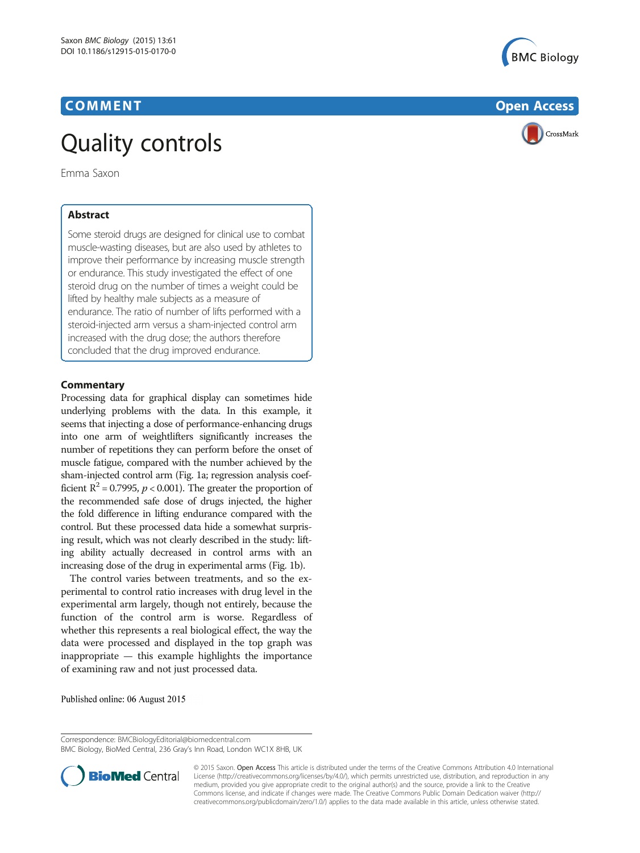



# Emma Saxon

Some steroid drugs are designed for clinical use to combat muscle-wasting diseases, but are also used by athletes to improve their performance by increasing muscle strength or endurance. This study investigated the effect of one steroid drug on the number of times a weight could be lifted by healthy male subjects as a measure of endurance. The ratio of number of lifts performed with a steroid-injected arm versus a sham-injected control arm increased with the drug dose; the authors therefore concluded that the drug improved endurance.

Processing data for graphical display can sometimes hide underlying problems with the data. In this example, it seems that injecting a dose of performance-enhancing drugs into one arm of weightlifters significantly increases the number of repetitions they can perform before the onset of muscle fatigue, compared with the number achieved by the sham-injected control arm (Fig. [1a;](#page-1-0) regression analysis coefficient  $R^2$  = 0.7995,  $p < 0.001$ ). The greater the proportion of the recommended safe dose of drugs injected, the higher the fold difference in lifting endurance compared with the control. But these processed data hide a somewhat surprising result, which was not clearly described in the study: lifting ability actually decreased in control arms with an increasing dose of the drug in experimental arms (Fig. [1b](#page-1-0)).

The control varies between treatments, and so the experimental to control ratio increases with drug level in the experimental arm largely, though not entirely, because the function of the control arm is worse. Regardless of whether this represents a real biological effect, the way the data were processed and displayed in the top graph was inappropriate — this example highlights the importance of examining raw and not just processed data.

Published online: 06 August 2015

BMC Biology, BioMed Central, 236 Gray's Inn Road, London WC1X 8HB, UK



© 2015 Saxon. Open Access This article is distributed under the terms of the Creative Commons Attribution 4.0 International License ([http://creativecommons.org/licenses/by/4.0/\)](http://creativecommons.org/licenses/by/4.0/), which permits unrestricted use, distribution, and reproduction in any medium, provided you give appropriate credit to the original author(s) and the source, provide a link to the Creative Commons license, and indicate if changes were made. The Creative Commons Public Domain Dedication waiver ([http://](http://creativecommons.org/publicdomain/zero/1.0/) [creativecommons.org/publicdomain/zero/1.0/\)](http://creativecommons.org/publicdomain/zero/1.0/) applies to the data made available in this article, unless otherwise stated.

Correspondence: [BMCBiologyEditorial@biomedcentral.com](mailto:BMCBiologyEditorial@biomedcentral.com)